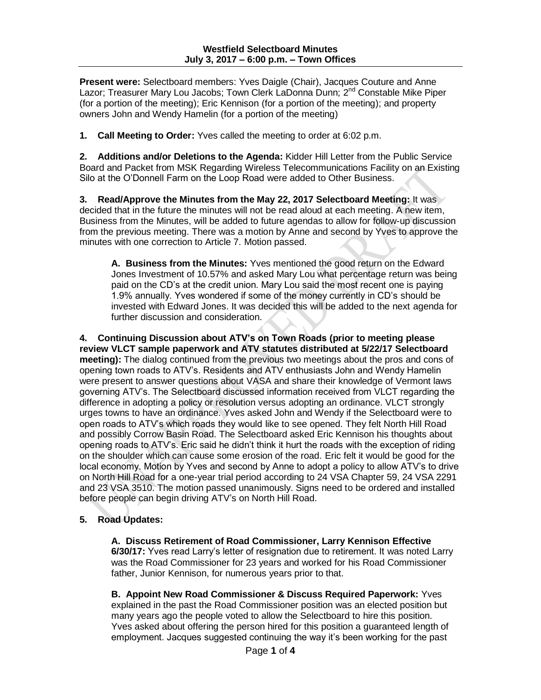**Present were:** Selectboard members: Yves Daigle (Chair), Jacques Couture and Anne Lazor; Treasurer Mary Lou Jacobs; Town Clerk LaDonna Dunn; 2<sup>nd</sup> Constable Mike Piper (for a portion of the meeting); Eric Kennison (for a portion of the meeting); and property owners John and Wendy Hamelin (for a portion of the meeting)

**1. Call Meeting to Order:** Yves called the meeting to order at 6:02 p.m.

**2. Additions and/or Deletions to the Agenda:** Kidder Hill Letter from the Public Service Board and Packet from MSK Regarding Wireless Telecommunications Facility on an Existing Silo at the O'Donnell Farm on the Loop Road were added to Other Business.

**3. Read/Approve the Minutes from the May 22, 2017 Selectboard Meeting:** It was decided that in the future the minutes will not be read aloud at each meeting. A new item, Business from the Minutes, will be added to future agendas to allow for follow-up discussion from the previous meeting. There was a motion by Anne and second by Yves to approve the minutes with one correction to Article 7. Motion passed.

**A. Business from the Minutes:** Yves mentioned the good return on the Edward Jones Investment of 10.57% and asked Mary Lou what percentage return was being paid on the CD's at the credit union. Mary Lou said the most recent one is paying 1.9% annually. Yves wondered if some of the money currently in CD's should be invested with Edward Jones. It was decided this will be added to the next agenda for further discussion and consideration.

**4. Continuing Discussion about ATV's on Town Roads (prior to meeting please review VLCT sample paperwork and ATV statutes distributed at 5/22/17 Selectboard meeting):** The dialog continued from the previous two meetings about the pros and cons of opening town roads to ATV's. Residents and ATV enthusiasts John and Wendy Hamelin were present to answer questions about VASA and share their knowledge of Vermont laws governing ATV's. The Selectboard discussed information received from VLCT regarding the difference in adopting a policy or resolution versus adopting an ordinance. VLCT strongly urges towns to have an ordinance. Yves asked John and Wendy if the Selectboard were to open roads to ATV's which roads they would like to see opened. They felt North Hill Road and possibly Corrow Basin Road. The Selectboard asked Eric Kennison his thoughts about opening roads to ATV's. Eric said he didn't think it hurt the roads with the exception of riding on the shoulder which can cause some erosion of the road. Eric felt it would be good for the local economy. Motion by Yves and second by Anne to adopt a policy to allow ATV's to drive on North Hill Road for a one-year trial period according to 24 VSA Chapter 59, 24 VSA 2291 and 23 VSA 3510. The motion passed unanimously. Signs need to be ordered and installed before people can begin driving ATV's on North Hill Road.

#### **5. Road Updates:**

**A. Discuss Retirement of Road Commissioner, Larry Kennison Effective 6/30/17:** Yves read Larry's letter of resignation due to retirement. It was noted Larry was the Road Commissioner for 23 years and worked for his Road Commissioner father, Junior Kennison, for numerous years prior to that.

**B. Appoint New Road Commissioner & Discuss Required Paperwork:** Yves explained in the past the Road Commissioner position was an elected position but many years ago the people voted to allow the Selectboard to hire this position. Yves asked about offering the person hired for this position a guaranteed length of employment. Jacques suggested continuing the way it's been working for the past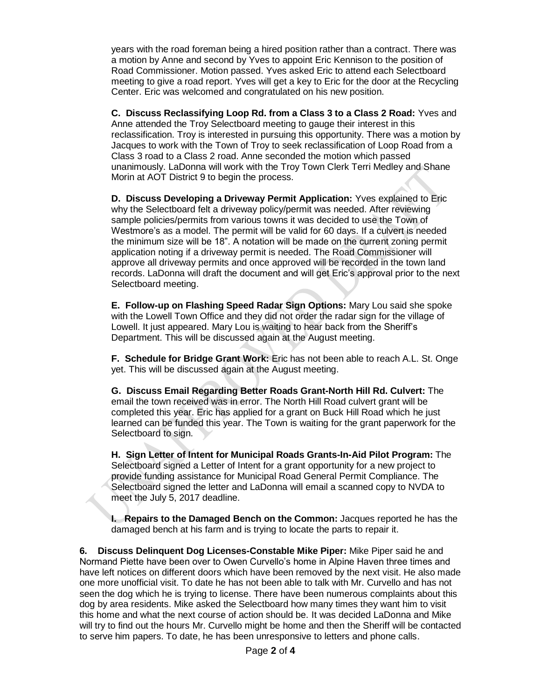years with the road foreman being a hired position rather than a contract. There was a motion by Anne and second by Yves to appoint Eric Kennison to the position of Road Commissioner. Motion passed. Yves asked Eric to attend each Selectboard meeting to give a road report. Yves will get a key to Eric for the door at the Recycling Center. Eric was welcomed and congratulated on his new position.

**C. Discuss Reclassifying Loop Rd. from a Class 3 to a Class 2 Road:** Yves and Anne attended the Troy Selectboard meeting to gauge their interest in this reclassification. Troy is interested in pursuing this opportunity. There was a motion by Jacques to work with the Town of Troy to seek reclassification of Loop Road from a Class 3 road to a Class 2 road. Anne seconded the motion which passed unanimously. LaDonna will work with the Troy Town Clerk Terri Medley and Shane Morin at AOT District 9 to begin the process.

**D. Discuss Developing a Driveway Permit Application:** Yves explained to Eric why the Selectboard felt a driveway policy/permit was needed. After reviewing sample policies/permits from various towns it was decided to use the Town of Westmore's as a model. The permit will be valid for 60 days. If a culvert is needed the minimum size will be 18". A notation will be made on the current zoning permit application noting if a driveway permit is needed. The Road Commissioner will approve all driveway permits and once approved will be recorded in the town land records. LaDonna will draft the document and will get Eric's approval prior to the next Selectboard meeting.

**E. Follow-up on Flashing Speed Radar Sign Options:** Mary Lou said she spoke with the Lowell Town Office and they did not order the radar sign for the village of Lowell. It just appeared. Mary Lou is waiting to hear back from the Sheriff's Department. This will be discussed again at the August meeting.

**F. Schedule for Bridge Grant Work:** Eric has not been able to reach A.L. St. Onge yet. This will be discussed again at the August meeting.

**G. Discuss Email Regarding Better Roads Grant-North Hill Rd. Culvert:** The email the town received was in error. The North Hill Road culvert grant will be completed this year. Eric has applied for a grant on Buck Hill Road which he just learned can be funded this year. The Town is waiting for the grant paperwork for the Selectboard to sign.

**H. Sign Letter of Intent for Municipal Roads Grants-In-Aid Pilot Program:** The Selectboard signed a Letter of Intent for a grant opportunity for a new project to provide funding assistance for Municipal Road General Permit Compliance. The Selectboard signed the letter and LaDonna will email a scanned copy to NVDA to meet the July 5, 2017 deadline.

**I. Repairs to the Damaged Bench on the Common:** Jacques reported he has the damaged bench at his farm and is trying to locate the parts to repair it.

**6. Discuss Delinquent Dog Licenses-Constable Mike Piper:** Mike Piper said he and Normand Piette have been over to Owen Curvello's home in Alpine Haven three times and have left notices on different doors which have been removed by the next visit. He also made one more unofficial visit. To date he has not been able to talk with Mr. Curvello and has not seen the dog which he is trying to license. There have been numerous complaints about this dog by area residents. Mike asked the Selectboard how many times they want him to visit this home and what the next course of action should be. It was decided LaDonna and Mike will try to find out the hours Mr. Curvello might be home and then the Sheriff will be contacted to serve him papers. To date, he has been unresponsive to letters and phone calls.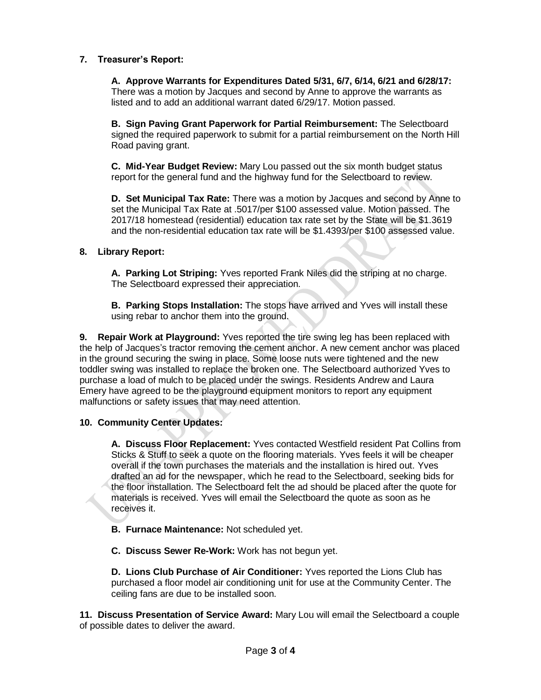# **7. Treasurer's Report:**

**A. Approve Warrants for Expenditures Dated 5/31, 6/7, 6/14, 6/21 and 6/28/17:** There was a motion by Jacques and second by Anne to approve the warrants as listed and to add an additional warrant dated 6/29/17. Motion passed.

**B. Sign Paving Grant Paperwork for Partial Reimbursement:** The Selectboard signed the required paperwork to submit for a partial reimbursement on the North Hill Road paving grant.

**C. Mid-Year Budget Review:** Mary Lou passed out the six month budget status report for the general fund and the highway fund for the Selectboard to review.

**D. Set Municipal Tax Rate:** There was a motion by Jacques and second by Anne to set the Municipal Tax Rate at .5017/per \$100 assessed value. Motion passed. The 2017/18 homestead (residential) education tax rate set by the State will be \$1.3619 and the non-residential education tax rate will be \$1.4393/per \$100 assessed value.

## **8. Library Report:**

**A. Parking Lot Striping:** Yves reported Frank Niles did the striping at no charge. The Selectboard expressed their appreciation.

**B. Parking Stops Installation:** The stops have arrived and Yves will install these using rebar to anchor them into the ground.

**9. Repair Work at Playground:** Yves reported the tire swing leg has been replaced with the help of Jacques's tractor removing the cement anchor. A new cement anchor was placed in the ground securing the swing in place. Some loose nuts were tightened and the new toddler swing was installed to replace the broken one. The Selectboard authorized Yves to purchase a load of mulch to be placed under the swings. Residents Andrew and Laura Emery have agreed to be the playground equipment monitors to report any equipment malfunctions or safety issues that may need attention.

## **10. Community Center Updates:**

**A. Discuss Floor Replacement:** Yves contacted Westfield resident Pat Collins from Sticks & Stuff to seek a quote on the flooring materials. Yves feels it will be cheaper overall if the town purchases the materials and the installation is hired out. Yves drafted an ad for the newspaper, which he read to the Selectboard, seeking bids for the floor installation. The Selectboard felt the ad should be placed after the quote for materials is received. Yves will email the Selectboard the quote as soon as he receives it.

- **B. Furnace Maintenance:** Not scheduled yet.
- **C. Discuss Sewer Re-Work:** Work has not begun yet.

**D. Lions Club Purchase of Air Conditioner:** Yves reported the Lions Club has purchased a floor model air conditioning unit for use at the Community Center. The ceiling fans are due to be installed soon.

**11. Discuss Presentation of Service Award:** Mary Lou will email the Selectboard a couple of possible dates to deliver the award.